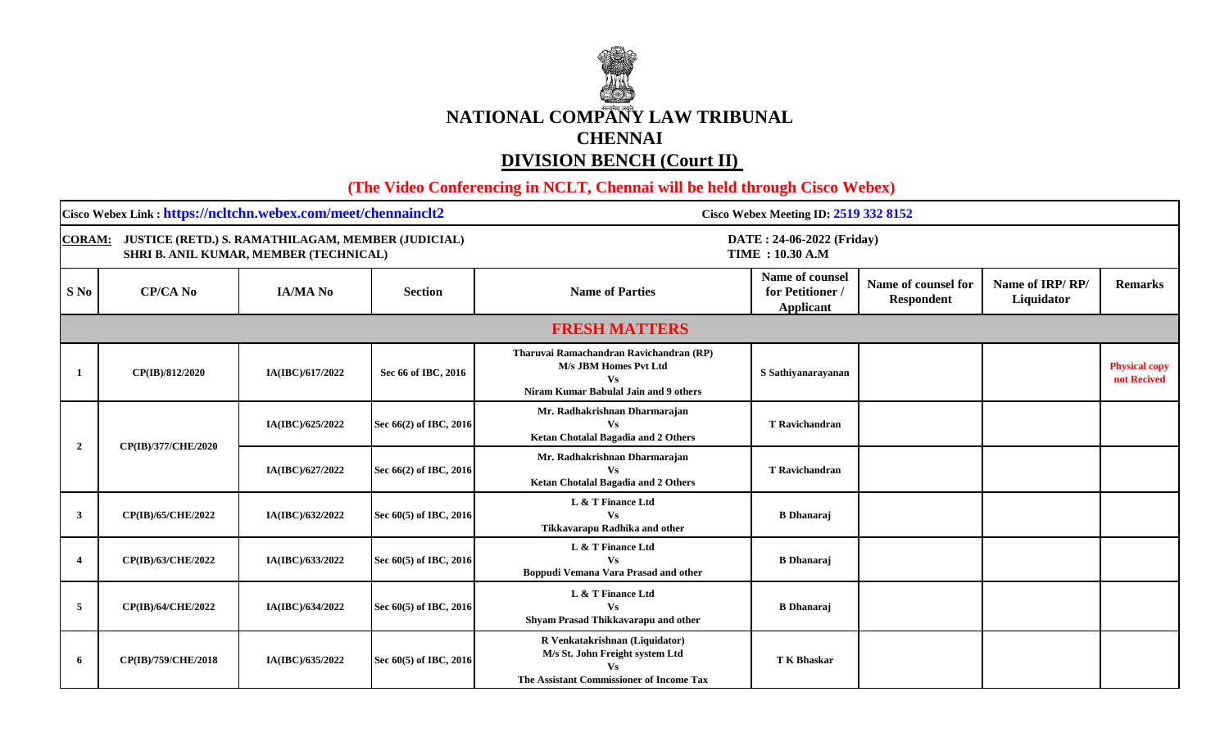## **NATIONAL COMPANY LAW TRIBUNAL CHENNAI DIVISION BENCH (Court II)**

 **(The Video Conferencing in NCLT, Chennai will be held through Cisco Webex)** 

| Cisco Webex Link: https://ncltchn.webex.com/meet/chennainclt2                                                 |                     |                  |                        | Cisco Webex Meeting ID: 2519 332 8152                                                                                  |                                                  |                                          |                               |                                     |  |
|---------------------------------------------------------------------------------------------------------------|---------------------|------------------|------------------------|------------------------------------------------------------------------------------------------------------------------|--------------------------------------------------|------------------------------------------|-------------------------------|-------------------------------------|--|
| JUSTICE (RETD.) S. RAMATHILAGAM, MEMBER (JUDICIAL)<br><b>CORAM:</b><br>SHRI B. ANIL KUMAR, MEMBER (TECHNICAL) |                     |                  |                        | DATE: 24-06-2022 (Friday)<br><b>TIME: 10.30 A.M</b>                                                                    |                                                  |                                          |                               |                                     |  |
| S No                                                                                                          | <b>CP/CA No</b>     | <b>IA/MA No</b>  | <b>Section</b>         | <b>Name of Parties</b>                                                                                                 | Name of counsel<br>for Petitioner /<br>Applicant | Name of counsel for<br><b>Respondent</b> | Name of IRP/RP/<br>Liquidator | <b>Remarks</b>                      |  |
|                                                                                                               |                     |                  |                        | <b>FRESH MATTERS</b>                                                                                                   |                                                  |                                          |                               |                                     |  |
|                                                                                                               | CP(IB)/812/2020     | IA(IBC)/617/2022 | Sec 66 of IBC, 2016    | Tharuvai Ramachandran Ravichandran (RP)<br>M/s JBM Homes Pvt Ltd<br><b>Vs</b><br>Niram Kumar Babulal Jain and 9 others | S Sathiyanarayanan                               |                                          |                               | <b>Physical copy</b><br>not Recived |  |
|                                                                                                               | CP(IB)/377/CHE/2020 | IA(IBC)/625/2022 | Sec 66(2) of IBC, 2016 | Mr. Radhakrishnan Dharmarajan<br>Vs<br><b>Ketan Chotalal Bagadia and 2 Others</b>                                      | <b>T</b> Ravichandran                            |                                          |                               |                                     |  |
| $\overline{2}$                                                                                                |                     | IA(IBC)/627/2022 | Sec 66(2) of IBC, 2016 | Mr. Radhakrishnan Dharmarajan<br><b>Vs</b><br>Ketan Chotalal Bagadia and 2 Others                                      | <b>T</b> Ravichandran                            |                                          |                               |                                     |  |
| 3                                                                                                             | CP(IB)/65/CHE/2022  | IA(IBC)/632/2022 | Sec 60(5) of IBC, 2016 | L & T Finance Ltd<br><b>Vs</b><br>Tikkavarapu Radhika and other                                                        | <b>B</b> Dhanaraj                                |                                          |                               |                                     |  |
|                                                                                                               | CP(IB)/63/CHE/2022  | IA(IBC)/633/2022 | Sec 60(5) of IBC, 2016 | L & T Finance Ltd<br><b>Vs</b><br>Boppudi Vemana Vara Prasad and other                                                 | <b>B</b> Dhanaraj                                |                                          |                               |                                     |  |
| -5                                                                                                            | CP(IB)/64/CHE/2022  | IA(IBC)/634/2022 | Sec 60(5) of IBC, 2016 | L & T Finance Ltd<br>Vs<br>Shyam Prasad Thikkavarapu and other                                                         | <b>B</b> Dhanaraj                                |                                          |                               |                                     |  |
| -6                                                                                                            | CP(IB)/759/CHE/2018 | IA(IBC)/635/2022 | Sec 60(5) of IBC, 2016 | R Venkatakrishnan (Liquidator)<br>M/s St. John Freight system Ltd<br>The Assistant Commissioner of Income Tax          | <b>T K Bhaskar</b>                               |                                          |                               |                                     |  |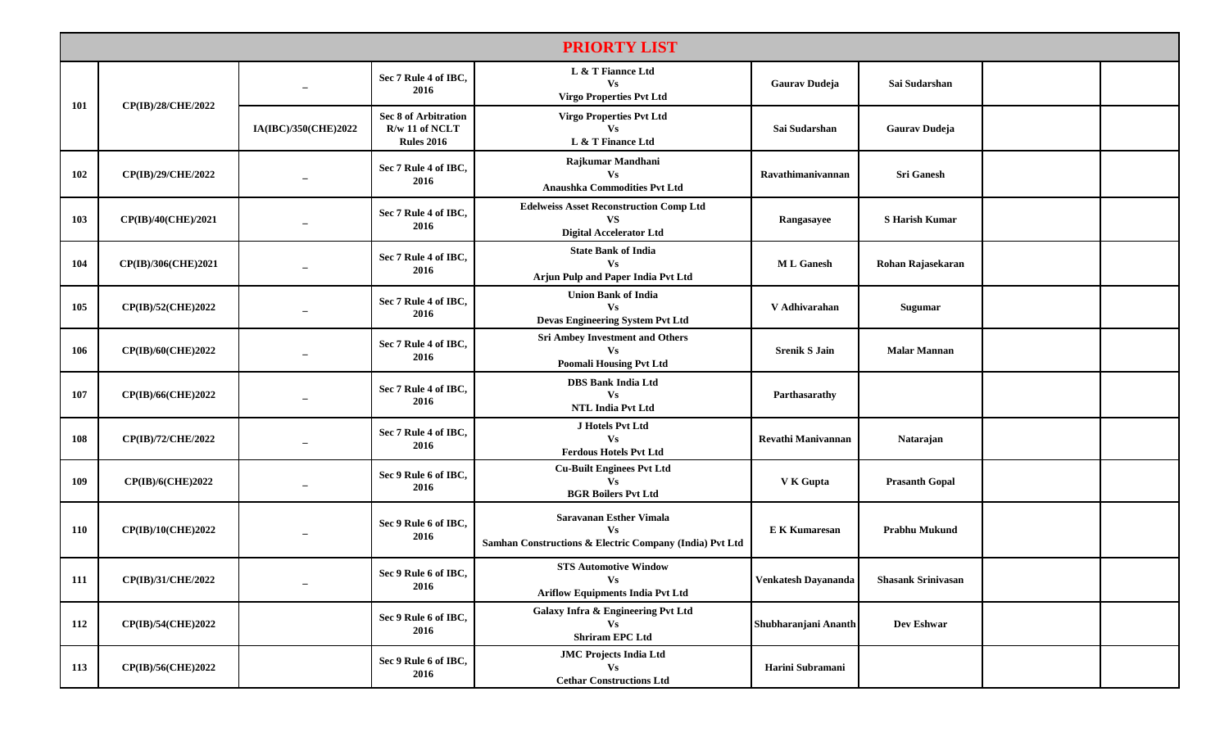|            | <b>PRIORTY LIST</b>       |                                  |                                                               |                                                                                                        |                      |                           |  |  |  |
|------------|---------------------------|----------------------------------|---------------------------------------------------------------|--------------------------------------------------------------------------------------------------------|----------------------|---------------------------|--|--|--|
|            | CP(IB)/28/CHE/2022        |                                  | Sec 7 Rule 4 of IBC,<br>2016                                  | L & T Fiannce Ltd<br>Vs<br><b>Virgo Properties Pvt Ltd</b>                                             | <b>Gaurav Dudeja</b> | Sai Sudarshan             |  |  |  |
| <b>101</b> |                           | IA(IBC)/350(CHE)2022             | Sec 8 of Arbitration<br>$R/w$ 11 of NCLT<br><b>Rules 2016</b> | <b>Virgo Properties Pvt Ltd</b><br><b>Vs</b><br>L & T Finance Ltd                                      | Sai Sudarshan        | <b>Gaurav Dudeja</b>      |  |  |  |
| 102        | CP(IB)/29/CHE/2022        |                                  | Sec 7 Rule 4 of IBC,<br>2016                                  | Rajkumar Mandhani<br><b>Vs</b><br>Anaushka Commodities Pvt Ltd                                         | Ravathimanivannan    | <b>Sri Ganesh</b>         |  |  |  |
| 103        | CP(IB)/40(CHE)/2021       |                                  | Sec 7 Rule 4 of IBC,<br>2016                                  | <b>Edelweiss Asset Reconstruction Comp Ltd</b><br><b>VS</b><br><b>Digital Accelerator Ltd</b>          | Rangasayee           | <b>S Harish Kumar</b>     |  |  |  |
| 104        | CP(IB)/306(CHE)2021       | $\overbrace{\phantom{12322111}}$ | Sec 7 Rule 4 of IBC,<br>2016                                  | <b>State Bank of India</b><br>Vs<br>Arjun Pulp and Paper India Pvt Ltd                                 | <b>ML</b> Ganesh     | Rohan Rajasekaran         |  |  |  |
| 105        | CP(IB)/52(CHE)2022        | $\overline{\phantom{0}}$         | Sec 7 Rule 4 of IBC,<br>2016                                  | <b>Union Bank of India</b><br><b>Vs</b><br>Devas Engineering System Pvt Ltd                            | V Adhivarahan        | Sugumar                   |  |  |  |
| 106        | CP(IB)/60(CHE)2022        |                                  | Sec 7 Rule 4 of IBC,<br>2016                                  | <b>Sri Ambey Investment and Others</b><br>Vs<br><b>Poomali Housing Pvt Ltd</b>                         | <b>Srenik S Jain</b> | <b>Malar Mannan</b>       |  |  |  |
| 107        | CP(IB)/66(CHE)2022        |                                  | Sec 7 Rule 4 of IBC,<br>2016                                  | <b>DBS Bank India Ltd</b><br>Vs<br><b>NTL India Pvt Ltd</b>                                            | Parthasarathy        |                           |  |  |  |
| 108        | CP(IB)/72/CHE/2022        | $\overbrace{\phantom{12322111}}$ | Sec 7 Rule 4 of IBC,<br>2016                                  | J Hotels Pvt Ltd<br>Vs<br><b>Ferdous Hotels Pvt Ltd</b>                                                | Revathi Manivannan   | Natarajan                 |  |  |  |
| 109        | <b>CP(IB)/6(CHE)2022</b>  |                                  | Sec 9 Rule 6 of IBC,<br>2016                                  | <b>Cu-Built Enginees Pvt Ltd</b><br><b>Vs</b><br><b>BGR Boilers Pvt Ltd</b>                            | V K Gupta            | <b>Prasanth Gopal</b>     |  |  |  |
| <b>110</b> | CP(IB)/10(CHE)2022        | $\overline{\phantom{0}}$         | Sec 9 Rule 6 of IBC,<br>2016                                  | <b>Saravanan Esther Vimala</b><br><b>Vs</b><br>Samhan Constructions & Electric Company (India) Pvt Ltd | <b>E K Kumaresan</b> | <b>Prabhu Mukund</b>      |  |  |  |
| 111        | CP(IB)/31/CHE/2022        | $\overline{\phantom{0}}$         | Sec 9 Rule 6 of IBC.<br>2016                                  | <b>STS Automotive Window</b><br>Vs.<br><b>Ariflow Equipments India Pvt Ltd</b>                         | Venkatesh Dayananda  | <b>Shasank Srinivasan</b> |  |  |  |
| 112        | <b>CP(IB)/54(CHE)2022</b> |                                  | Sec 9 Rule 6 of IBC,<br>2016                                  | Galaxy Infra & Engineering Pvt Ltd<br>Vs<br><b>Shriram EPC Ltd</b>                                     | Shubharanjani Ananth | Dev Eshwar                |  |  |  |
| 113        | CP(IB)/56(CHE)2022        |                                  | Sec 9 Rule 6 of IBC,<br>2016                                  | <b>JMC Projects India Ltd</b><br><b>Vs</b><br><b>Cethar Constructions Ltd</b>                          | Harini Subramani     |                           |  |  |  |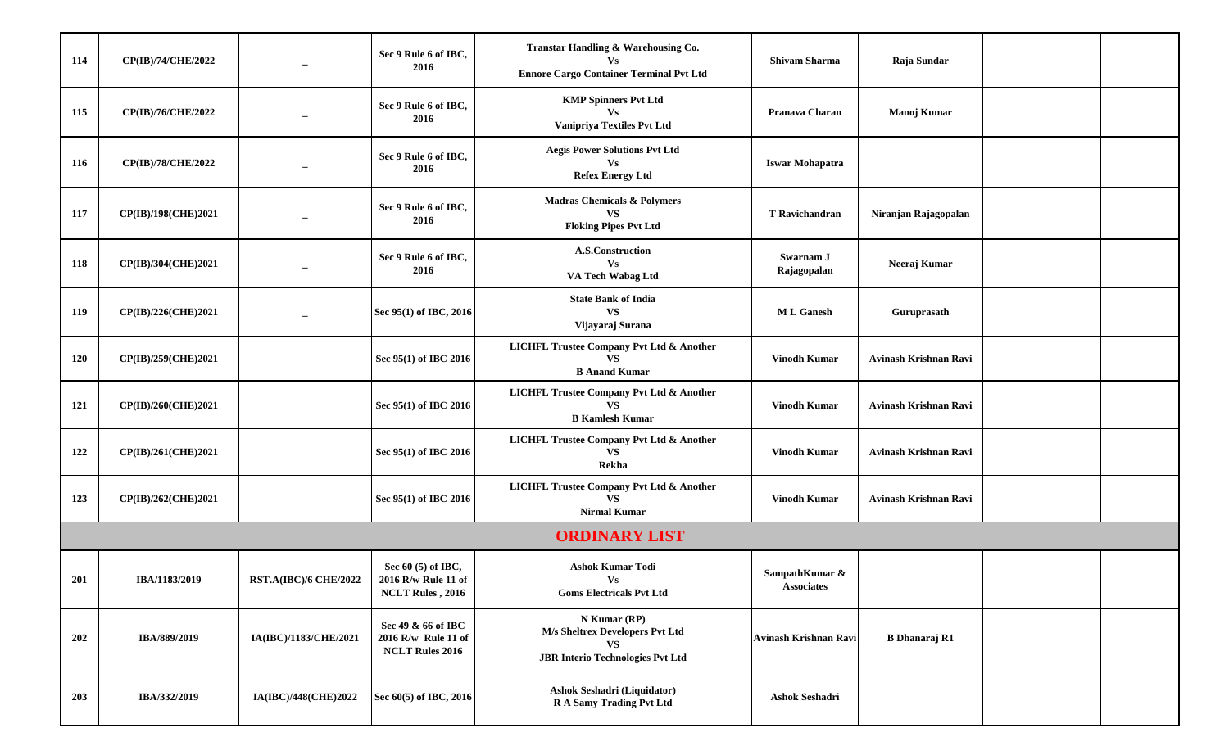| 114        | CP(IB)/74/CHE/2022  | $\overline{\phantom{0}}$     | Sec 9 Rule 6 of IBC,<br>2016                                        | Transtar Handling & Warehousing Co.<br><b>Vs</b><br><b>Ennore Cargo Container Terminal Pvt Ltd</b>      | <b>Shivam Sharma</b>                | Raja Sundar           |  |
|------------|---------------------|------------------------------|---------------------------------------------------------------------|---------------------------------------------------------------------------------------------------------|-------------------------------------|-----------------------|--|
| 115        | CP(IB)/76/CHE/2022  |                              | Sec 9 Rule 6 of IBC,<br>2016                                        | <b>KMP Spinners Pvt Ltd</b><br>$\mathbf{V}\mathbf{s}$<br>Vanipriya Textiles Pvt Ltd                     | Pranava Charan                      | Manoj Kumar           |  |
| 116        | CP(IB)/78/CHE/2022  | $\overline{\phantom{m}}$     | Sec 9 Rule 6 of IBC,<br>2016                                        | <b>Aegis Power Solutions Pvt Ltd</b><br>Vs<br><b>Refex Energy Ltd</b>                                   | <b>Iswar Mohapatra</b>              |                       |  |
| 117        | CP(IB)/198(CHE)2021 | $\overline{\phantom{0}}$     | Sec 9 Rule 6 of IBC,<br>2016                                        | <b>Madras Chemicals &amp; Polymers</b><br><b>VS</b><br><b>Floking Pipes Pvt Ltd</b>                     | T Ravichandran                      | Niranjan Rajagopalan  |  |
| 118        | CP(IB)/304(CHE)2021 |                              | Sec 9 Rule 6 of IBC,<br>2016                                        | A.S.Construction<br><b>Vs</b><br>VA Tech Wabag Ltd                                                      | Swarnam J<br>Rajagopalan            | Neeraj Kumar          |  |
| 119        | CP(IB)/226(CHE)2021 |                              | Sec 95(1) of IBC, 2016                                              | <b>State Bank of India</b><br><b>VS</b><br>Vijayaraj Surana                                             | <b>ML</b> Ganesh                    | Guruprasath           |  |
| <b>120</b> | CP(IB)/259(CHE)2021 |                              | Sec 95(1) of IBC 2016                                               | LICHFL Trustee Company Pvt Ltd & Another<br><b>VS</b><br><b>B</b> Anand Kumar                           | <b>Vinodh Kumar</b>                 | Avinash Krishnan Ravi |  |
| 121        | CP(IB)/260(CHE)2021 |                              | Sec 95(1) of IBC 2016                                               | <b>LICHFL Trustee Company Pvt Ltd &amp; Another</b><br><b>VS</b><br><b>B Kamlesh Kumar</b>              | <b>Vinodh Kumar</b>                 | Avinash Krishnan Ravi |  |
| 122        | CP(IB)/261(CHE)2021 |                              | Sec 95(1) of IBC 2016                                               | <b>LICHFL Trustee Company Pvt Ltd &amp; Another</b><br><b>VS</b><br>Rekha                               | <b>Vinodh Kumar</b>                 | Avinash Krishnan Ravi |  |
| 123        | CP(IB)/262(CHE)2021 |                              | Sec 95(1) of IBC 2016                                               | <b>LICHFL Trustee Company Pvt Ltd &amp; Another</b><br><b>VS</b><br><b>Nirmal Kumar</b>                 | Vinodh Kumar                        | Avinash Krishnan Ravi |  |
|            |                     |                              |                                                                     | <b>ORDINARY LIST</b>                                                                                    |                                     |                       |  |
| 201        | IBA/1183/2019       | <b>RST.A(IBC)/6 CHE/2022</b> | Sec $60(5)$ of IBC,<br>2016 R/w Rule 11 of<br>NCLT Rules, 2016      | <b>Ashok Kumar Todi</b><br>$\mathbf{V}\mathbf{s}$<br><b>Goms Electricals Pvt Ltd</b>                    | SampathKumar &<br><b>Associates</b> |                       |  |
| 202        | IBA/889/2019        | IA(IBC)/1183/CHE/2021        | Sec 49 & 66 of IBC<br>2016 R/w Rule 11 of<br><b>NCLT Rules 2016</b> | N Kumar (RP)<br>M/s Sheltrex Developers Pvt Ltd<br><b>VS</b><br><b>JBR Interio Technologies Pvt Ltd</b> | Avinash Krishnan Ravi               | <b>B</b> Dhanaraj R1  |  |
| 203        | IBA/332/2019        | IA(IBC)/448(CHE)2022         | Sec 60(5) of IBC, 2016                                              | Ashok Seshadri (Liquidator)<br>R A Samy Trading Pvt Ltd                                                 | Ashok Seshadri                      |                       |  |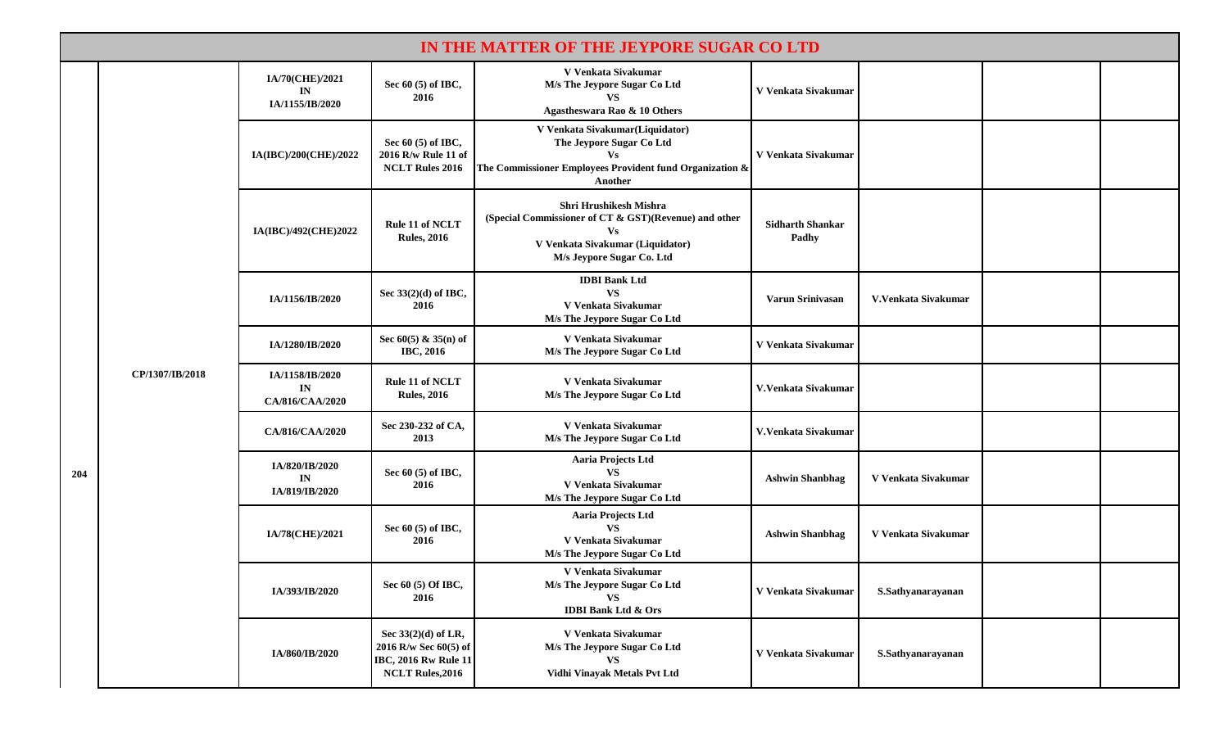|     | IN THE MATTER OF THE JEYPORE SUGAR CO LTD |                                          |                                                                                                        |                                                                                                                                                               |                                  |                     |  |  |  |
|-----|-------------------------------------------|------------------------------------------|--------------------------------------------------------------------------------------------------------|---------------------------------------------------------------------------------------------------------------------------------------------------------------|----------------------------------|---------------------|--|--|--|
|     | CP/1307/IB/2018                           | IA/70(CHE)/2021<br>IN<br>IA/1155/IB/2020 | Sec 60 (5) of IBC,<br>2016                                                                             | V Venkata Sivakumar<br>M/s The Jeypore Sugar Co Ltd<br>VS.<br>Agastheswara Rao & 10 Others                                                                    | V Venkata Sivakumar              |                     |  |  |  |
|     |                                           | IA(IBC)/200(CHE)/2022                    | Sec 60 (5) of IBC,<br>2016 R/w Rule 11 of<br><b>NCLT Rules 2016</b>                                    | V Venkata Sivakumar(Liquidator)<br>The Jeypore Sugar Co Ltd<br><b>Vs</b><br>The Commissioner Employees Provident fund Organization &<br>Another               | V Venkata Sivakumar              |                     |  |  |  |
|     |                                           | IA(IBC)/492(CHE)2022                     | Rule 11 of NCLT<br><b>Rules, 2016</b>                                                                  | <b>Shri Hrushikesh Mishra</b><br>(Special Commissioner of CT & GST)(Revenue) and other<br>Vs<br>V Venkata Sivakumar (Liquidator)<br>M/s Jeypore Sugar Co. Ltd | <b>Sidharth Shankar</b><br>Padhy |                     |  |  |  |
|     |                                           | IA/1156/IB/2020                          | Sec 33(2)(d) of IBC,<br>2016                                                                           | <b>IDBI</b> Bank Ltd<br><b>VS</b><br>V Venkata Sivakumar<br>M/s The Jeypore Sugar Co Ltd                                                                      | Varun Srinivasan                 | V.Venkata Sivakumar |  |  |  |
|     |                                           | IA/1280/IB/2020                          | Sec $60(5)$ & $35(n)$ of<br><b>IBC, 2016</b>                                                           | V Venkata Sivakumar<br>M/s The Jeypore Sugar Co Ltd                                                                                                           | V Venkata Sivakumar              |                     |  |  |  |
|     |                                           | IA/1158/IB/2020<br>IN<br>CA/816/CAA/2020 | Rule 11 of NCLT<br><b>Rules, 2016</b>                                                                  | V Venkata Sivakumar<br>M/s The Jeypore Sugar Co Ltd                                                                                                           | V. Venkata Sivakumar             |                     |  |  |  |
|     |                                           | CA/816/CAA/2020                          | Sec 230-232 of CA,<br>2013                                                                             | V Venkata Sivakumar<br>M/s The Jeypore Sugar Co Ltd                                                                                                           | V.Venkata Sivakumar              |                     |  |  |  |
| 204 |                                           | IA/820/IB/2020<br>IN<br>IA/819/IB/2020   | Sec 60 (5) of IBC,<br>2016                                                                             | Aaria Projects Ltd<br><b>VS</b><br>V Venkata Sivakumar<br>M/s The Jeypore Sugar Co Ltd                                                                        | <b>Ashwin Shanbhag</b>           | V Venkata Sivakumar |  |  |  |
|     |                                           | IA/78(CHE)/2021                          | Sec 60 (5) of IBC,<br>2016                                                                             | Aaria Projects Ltd<br><b>VS</b><br>V Venkata Sivakumar<br>M/s The Jeypore Sugar Co Ltd                                                                        | <b>Ashwin Shanbhag</b>           | V Venkata Sivakumar |  |  |  |
|     |                                           | IA/393/IB/2020                           | Sec 60 (5) Of IBC,<br>2016                                                                             | V Venkata Sivakumar<br>M/s The Jeypore Sugar Co Ltd<br><b>VS</b><br><b>IDBI Bank Ltd &amp; Ors</b>                                                            | V Venkata Sivakumar              | S.Sathyanarayanan   |  |  |  |
|     |                                           | IA/860/IB/2020                           | Sec 33(2)(d) of LR,<br>2016 R/w Sec 60(5) of<br><b>IBC, 2016 Rw Rule 11</b><br><b>NCLT Rules, 2016</b> | V Venkata Sivakumar<br>M/s The Jeypore Sugar Co Ltd<br><b>VS</b><br>Vidhi Vinayak Metals Pvt Ltd                                                              | V Venkata Sivakumar              | S.Sathyanarayanan   |  |  |  |